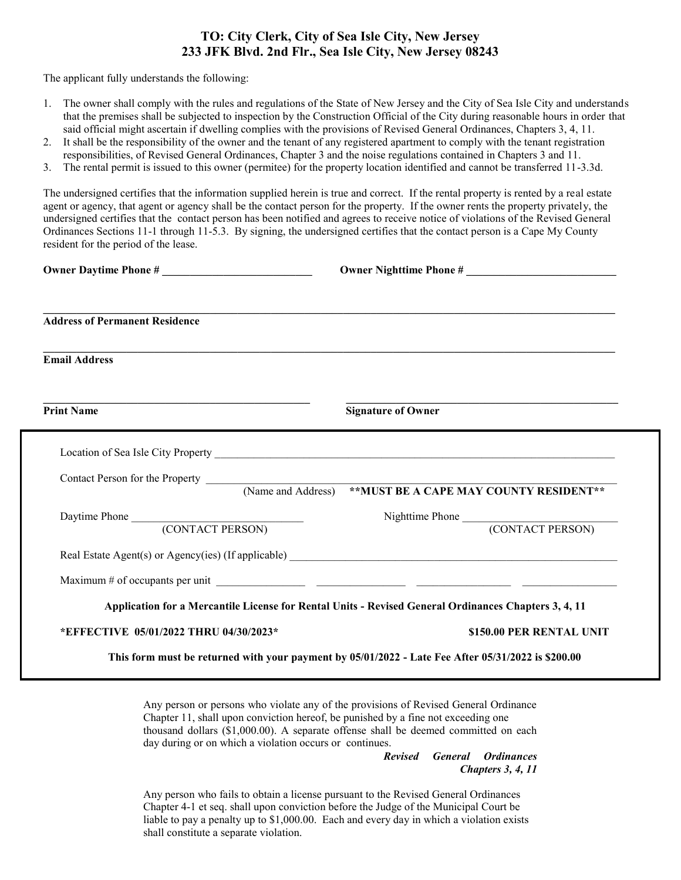## **TO: City Clerk, City of Sea Isle City, New Jersey 233 JFK Blvd. 2nd Flr., Sea Isle City, New Jersey 08243**

The applicant fully understands the following:

- 1. The owner shall comply with the rules and regulations of the State of New Jersey and the City of Sea Isle City and understands that the premises shall be subjected to inspection by the Construction Official of the City during reasonable hours in order that said official might ascertain if dwelling complies with the provisions of Revised General Ordinances, Chapters 3, 4, 11.
- 2. It shall be the responsibility of the owner and the tenant of any registered apartment to comply with the tenant registration responsibilities, of Revised General Ordinances, Chapter 3 and the noise regulations contained in Chapters 3 and 11.
- 3. The rental permit is issued to this owner (permitee) for the property location identified and cannot be transferred 11-3.3d.

The undersigned certifies that the information supplied herein is true and correct. If the rental property is rented by a real estate agent or agency, that agent or agency shall be the contact person for the property. If the owner rents the property privately, the undersigned certifies that the contact person has been notified and agrees to receive notice of violations of the Revised General Ordinances Sections 11-1 through 11-5.3. By signing, the undersigned certifies that the contact person is a Cape My County resident for the period of the lease.

| Owner Daytime Phone #                                                                                |
|------------------------------------------------------------------------------------------------------|
|                                                                                                      |
|                                                                                                      |
| <b>Signature of Owner</b>                                                                            |
|                                                                                                      |
|                                                                                                      |
|                                                                                                      |
| Nighttime Phone (CONTACT PERSON)                                                                     |
| Real Estate Agent(s) or Agency(ies) (If applicable)                                                  |
|                                                                                                      |
| Application for a Mercantile License for Rental Units - Revised General Ordinances Chapters 3, 4, 11 |
| \$150.00 PER RENTAL UNIT                                                                             |
|                                                                                                      |

Any person or persons who violate any of the provisions of Revised General Ordinance Chapter 11, shall upon conviction hereof, be punished by a fine not exceeding one thousand dollars (\$1,000.00). A separate offense shall be deemed committed on each day during or on which a violation occurs or continues.

> *Revised General Ordinances Chapters 3, 4, 11*

Any person who fails to obtain a license pursuant to the Revised General Ordinances Chapter 4-1 et seq. shall upon conviction before the Judge of the Municipal Court be liable to pay a penalty up to \$1,000.00. Each and every day in which a violation exists shall constitute a separate violation.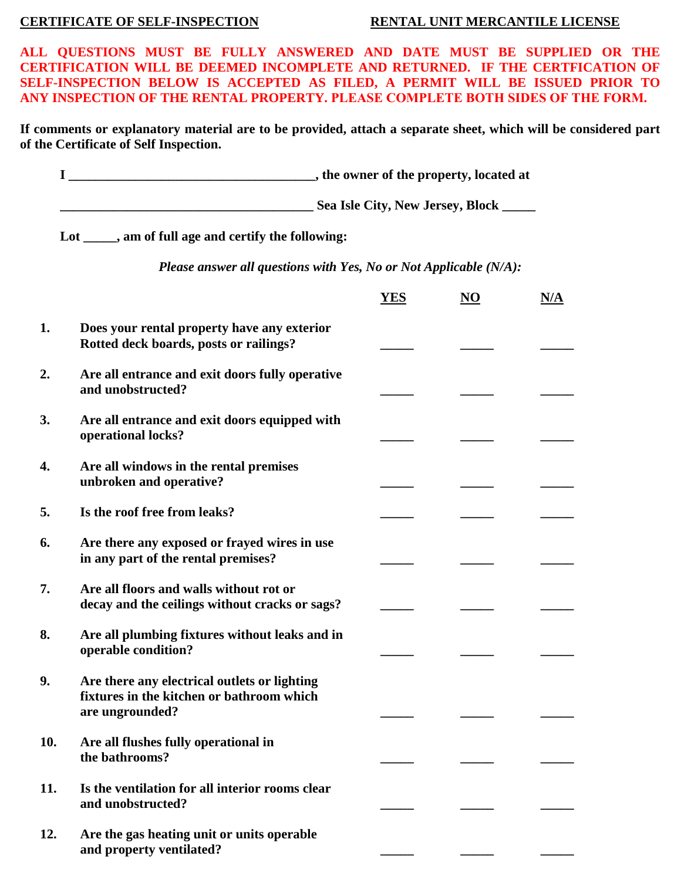## **CERTIFICATE OF SELF-INSPECTION RENTAL UNIT MERCANTILE LICENSE**

**ALL QUESTIONS MUST BE FULLY ANSWERED AND DATE MUST BE SUPPLIED OR THE CERTIFICATION WILL BE DEEMED INCOMPLETE AND RETURNED. IF THE CERTFICATION OF SELF-INSPECTION BELOW IS ACCEPTED AS FILED, A PERMIT WILL BE ISSUED PRIOR TO ANY INSPECTION OF THE RENTAL PROPERTY. PLEASE COMPLETE BOTH SIDES OF THE FORM.**

**If comments or explanatory material are to be provided, attach a separate sheet, which will be considered part of the Certificate of Self Inspection.** 

|                                                                   | Lot _____, am of full age and certify the following:                                                         |            |                        |     |  |  |  |
|-------------------------------------------------------------------|--------------------------------------------------------------------------------------------------------------|------------|------------------------|-----|--|--|--|
| Please answer all questions with Yes, No or Not Applicable (N/A): |                                                                                                              |            |                        |     |  |  |  |
|                                                                   |                                                                                                              | <b>YES</b> | $\overline{\text{NO}}$ | N/A |  |  |  |
| 1.                                                                | Does your rental property have any exterior<br>Rotted deck boards, posts or railings?                        |            |                        |     |  |  |  |
| 2.                                                                | Are all entrance and exit doors fully operative<br>and unobstructed?                                         |            |                        |     |  |  |  |
| 3.                                                                | Are all entrance and exit doors equipped with<br>operational locks?                                          |            |                        |     |  |  |  |
| 4.                                                                | Are all windows in the rental premises<br>unbroken and operative?                                            |            |                        |     |  |  |  |
| 5.                                                                | Is the roof free from leaks?                                                                                 |            |                        |     |  |  |  |
| 6.                                                                | Are there any exposed or frayed wires in use<br>in any part of the rental premises?                          |            |                        |     |  |  |  |
| 7.                                                                | Are all floors and walls without rot or<br>decay and the ceilings without cracks or sags?                    |            |                        |     |  |  |  |
| 8.                                                                | Are all plumbing fixtures without leaks and in<br>operable condition?                                        |            |                        |     |  |  |  |
| 9.                                                                | Are there any electrical outlets or lighting<br>fixtures in the kitchen or bathroom which<br>are ungrounded? |            |                        |     |  |  |  |
| 10.                                                               | Are all flushes fully operational in<br>the bathrooms?                                                       |            |                        |     |  |  |  |
| 11.                                                               | Is the ventilation for all interior rooms clear<br>and unobstructed?                                         |            |                        |     |  |  |  |
| 12.                                                               | Are the gas heating unit or units operable<br>and property ventilated?                                       |            |                        |     |  |  |  |